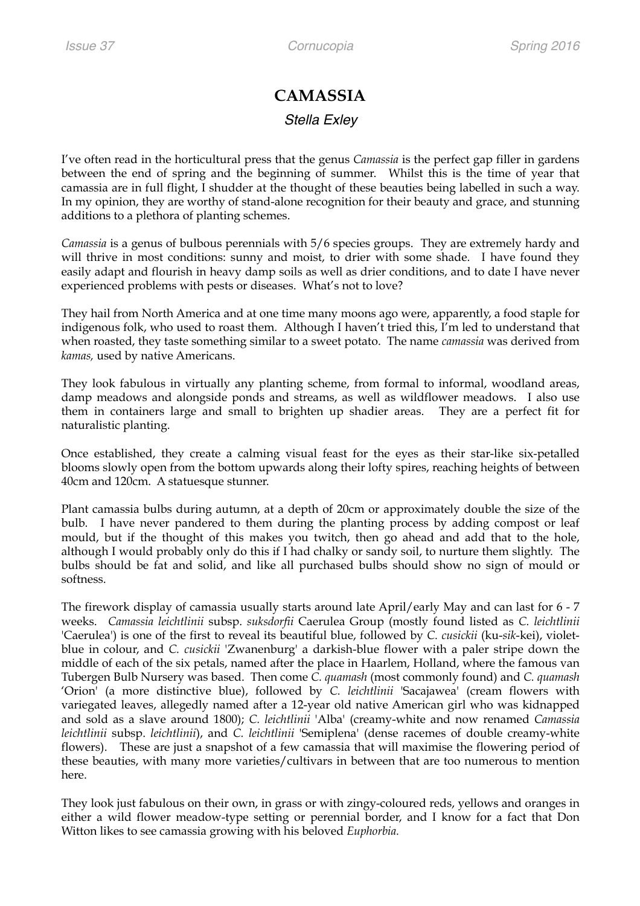## **CAMASSIA**  *Stella Exley*

I've often read in the horticultural press that the genus *Camassia* is the perfect gap filler in gardens between the end of spring and the beginning of summer. Whilst this is the time of year that camassia are in full flight, I shudder at the thought of these beauties being labelled in such a way. In my opinion, they are worthy of stand-alone recognition for their beauty and grace, and stunning additions to a plethora of planting schemes.

*Camassia* is a genus of bulbous perennials with 5/6 species groups. They are extremely hardy and will thrive in most conditions: sunny and moist, to drier with some shade. I have found they easily adapt and flourish in heavy damp soils as well as drier conditions, and to date I have never experienced problems with pests or diseases. What's not to love?

They hail from North America and at one time many moons ago were, apparently, a food staple for indigenous folk, who used to roast them. Although I haven't tried this, I'm led to understand that when roasted, they taste something similar to a sweet potato. The name *camassia* was derived from *kamas,* used by native Americans.

They look fabulous in virtually any planting scheme, from formal to informal, woodland areas, damp meadows and alongside ponds and streams, as well as wildflower meadows. I also use them in containers large and small to brighten up shadier areas. They are a perfect fit for naturalistic planting.

Once established, they create a calming visual feast for the eyes as their star-like six-petalled blooms slowly open from the bottom upwards along their lofty spires, reaching heights of between 40cm and 120cm. A statuesque stunner.

Plant camassia bulbs during autumn, at a depth of 20cm or approximately double the size of the bulb. I have never pandered to them during the planting process by adding compost or leaf mould, but if the thought of this makes you twitch, then go ahead and add that to the hole, although I would probably only do this if I had chalky or sandy soil, to nurture them slightly. The bulbs should be fat and solid, and like all purchased bulbs should show no sign of mould or softness.

The firework display of camassia usually starts around late April/early May and can last for 6 - 7 weeks. *Camassia leichtlinii* subsp. *suksdorfii* Caerulea Group (mostly found listed as *C. leichtlinii* 'Caerulea') is one of the first to reveal its beautiful blue, followed by *C. cusickii* (ku-*sik*-kei), violetblue in colour, and *C. cusickii* 'Zwanenburg' a darkish-blue flower with a paler stripe down the middle of each of the six petals, named after the place in Haarlem, Holland, where the famous van Tubergen Bulb Nursery was based. Then come *C. quamash* (most commonly found) and *C. quamash*  'Orion' (a more distinctive blue), followed by *C. leichtlinii* 'Sacajawea' (cream flowers with variegated leaves, allegedly named after a 12-year old native American girl who was kidnapped and sold as a slave around 1800); *C. leichtlinii* 'Alba' (creamy-white and now renamed *Camassia leichtlinii* subsp. *leichtlinii*), and *C. leichtlinii* 'Semiplena' (dense racemes of double creamy-white flowers). These are just a snapshot of a few camassia that will maximise the flowering period of these beauties, with many more varieties/cultivars in between that are too numerous to mention here.

They look just fabulous on their own, in grass or with zingy-coloured reds, yellows and oranges in either a wild flower meadow-type setting or perennial border, and I know for a fact that Don Witton likes to see camassia growing with his beloved *Euphorbia.*